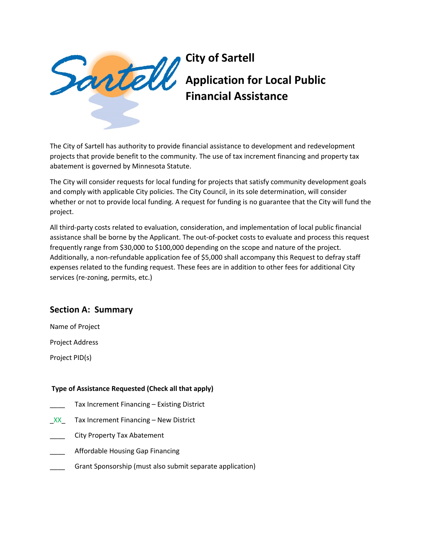

# **City of Sartell Application for Local Public Financial Assistance**

The City of Sartell has authority to provide financial assistance to development and redevelopment projects that provide benefit to the community. The use of tax increment financing and property tax abatement is governed by Minnesota Statute.

The City will consider requests for local funding for projects that satisfy community development goals and comply with applicable City policies. The City Council, in its sole determination, will consider whether or not to provide local funding. A request for funding is no guarantee that the City will fund the project.

All third-party costs related to evaluation, consideration, and implementation of local public financial assistance shall be borne by the Applicant. The out-of-pocket costs to evaluate and process this request frequently range from \$30,000 to \$100,000 depending on the scope and nature of the project. Additionally, a non-refundable application fee of \$5,000 shall accompany this Request to defray staff expenses related to the funding request. These fees are in addition to other fees for additional City services (re-zoning, permits, etc.)

# **Section A: Summary**

Name of Project

Project Address

Project PID(s)

## **Type of Assistance Requested (Check all that apply)**

- Tax Increment Financing Existing District
- $XX$  Tax Increment Financing New District
- \_\_\_\_ City Property Tax Abatement
- \_\_\_\_ Affordable Housing Gap Financing
- Grant Sponsorship (must also submit separate application)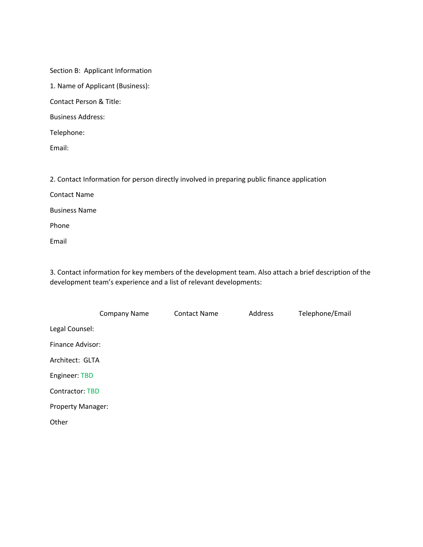Section B: Applicant Information

1. Name of Applicant (Business):

Contact Person & Title:

Business Address:

Telephone:

Email:

2. Contact Information for person directly involved in preparing public finance application

Contact Name

Business Name

Phone

Email

3. Contact information for key members of the development team. Also attach a brief description of the development team's experience and a list of relevant developments:

|                          | <b>Company Name</b> | <b>Contact Name</b> | Address | Telephone/Email |
|--------------------------|---------------------|---------------------|---------|-----------------|
| Legal Counsel:           |                     |                     |         |                 |
| Finance Advisor:         |                     |                     |         |                 |
| Architect: GLTA          |                     |                     |         |                 |
| Engineer: TBD            |                     |                     |         |                 |
| Contractor: TBD          |                     |                     |         |                 |
| <b>Property Manager:</b> |                     |                     |         |                 |
| Other                    |                     |                     |         |                 |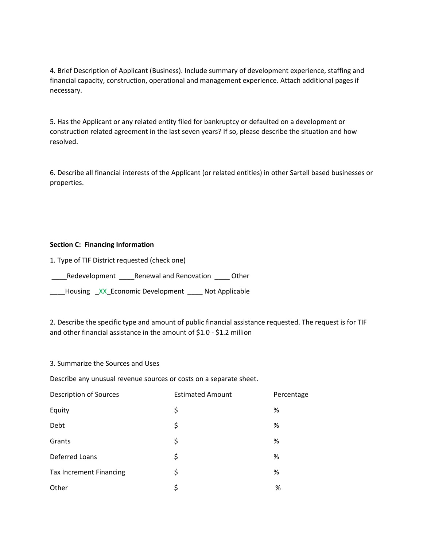4. Brief Description of Applicant (Business). Include summary of development experience, staffing and financial capacity, construction, operational and management experience. Attach additional pages if necessary.

5. Has the Applicant or any related entity filed for bankruptcy or defaulted on a development or construction related agreement in the last seven years? If so, please describe the situation and how resolved.

6. Describe all financial interests of the Applicant (or related entities) in other Sartell based businesses or properties.

### **Section C: Financing Information**

1. Type of TIF District requested (check one)

\_\_\_\_Redevelopment \_\_\_\_Renewal and Renovation \_\_\_\_ Other

\_\_\_\_Housing \_XX\_Economic Development \_\_\_\_ Not Applicable

2. Describe the specific type and amount of public financial assistance requested. The request is for TIF and other financial assistance in the amount of \$1.0 - \$1.2 million

3. Summarize the Sources and Uses

Describe any unusual revenue sources or costs on a separate sheet.

| <b>Description of Sources</b>  | <b>Estimated Amount</b> | Percentage |
|--------------------------------|-------------------------|------------|
| Equity                         | \$                      | %          |
| Debt                           | \$                      | %          |
| Grants                         | \$                      | %          |
| <b>Deferred Loans</b>          | \$                      | %          |
| <b>Tax Increment Financing</b> | \$                      | %          |
| Other                          | \$                      | %          |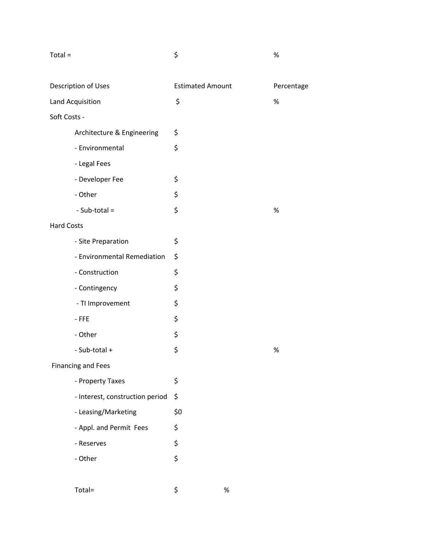| Total =                         | \$                      | $\%$       |
|---------------------------------|-------------------------|------------|
| Description of Uses             | <b>Estimated Amount</b> | Percentage |
| Land Acquisition                | \$                      | $\%$       |
| Soft Costs -                    |                         |            |
| Architecture & Engineering      | \$                      |            |
| - Environmental                 | \$                      |            |
| - Legal Fees                    |                         |            |
| - Developer Fee                 | \$                      |            |
| - Other                         | \$                      |            |
| - Sub-total =                   | \$                      | $\%$       |
| <b>Hard Costs</b>               |                         |            |
| - Site Preparation              | \$                      |            |
| - Environmental Remediation     | \$                      |            |
| - Construction                  | \$                      |            |
| - Contingency                   | \$                      |            |
| - TI Improvement                | \$                      |            |
| $-FFE$                          | \$                      |            |
| - Other                         | \$                      |            |
| - Sub-total +                   | \$                      | $\%$       |
| <b>Financing and Fees</b>       |                         |            |
| - Property Taxes                | \$                      |            |
| - Interest, construction period | \$                      |            |
| - Leasing/Marketing             | \$0                     |            |
| - Appl. and Permit Fees         | \$                      |            |
| - Reserves                      | \$                      |            |
| - Other                         | \$                      |            |
|                                 |                         |            |

Total=  $\qquad \qquad$   $\qquad \qquad$   $\qquad \qquad$   $\qquad \qquad$   $\qquad \qquad$   $\qquad \qquad$   $\qquad \qquad$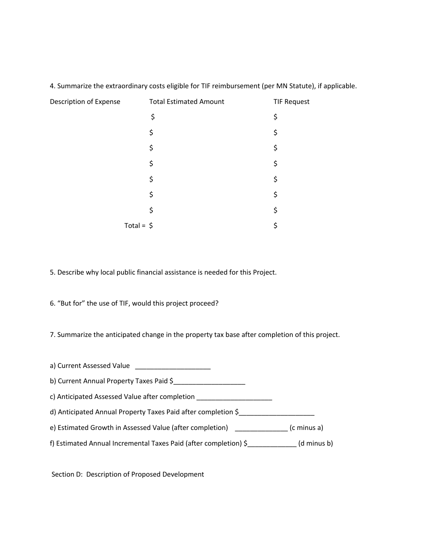| Description of Expense | <b>Total Estimated Amount</b> | <b>TIF Request</b> |
|------------------------|-------------------------------|--------------------|
|                        | \$                            | \$                 |
|                        | \$                            | \$                 |
|                        | \$                            | \$                 |
|                        | \$                            | \$                 |
|                        | \$                            | \$                 |
|                        | \$                            | \$                 |
|                        | \$                            | \$                 |
| Total = $\oint$        |                               | \$                 |

4. Summarize the extraordinary costs eligible for TIF reimbursement (per MN Statute), if applicable.

5. Describe why local public financial assistance is needed for this Project.

6. "But for" the use of TIF, would this project proceed?

7. Summarize the anticipated change in the property tax base after completion of this project.

| b) Current Annual Property Taxes Paid \$                         |             |
|------------------------------------------------------------------|-------------|
| c) Anticipated Assessed Value after completion                   |             |
| d) Anticipated Annual Property Taxes Paid after completion \$    |             |
| e) Estimated Growth in Assessed Value (after completion)         | (c minus a) |
| f) Estimated Annual Incremental Taxes Paid (after completion) \$ | (d minus b) |

Section D: Description of Proposed Development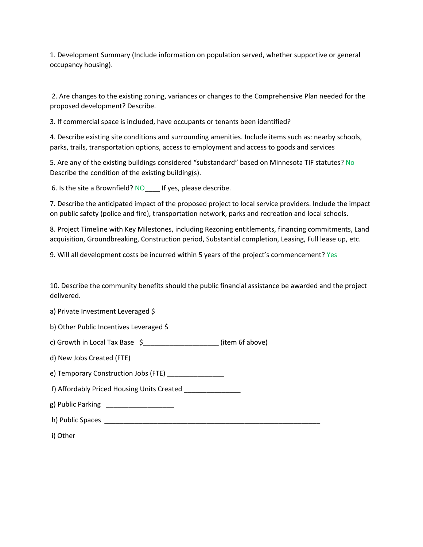1. Development Summary (Include information on population served, whether supportive or general occupancy housing).

2. Are changes to the existing zoning, variances or changes to the Comprehensive Plan needed for the proposed development? Describe.

3. If commercial space is included, have occupants or tenants been identified?

4. Describe existing site conditions and surrounding amenities. Include items such as: nearby schools, parks, trails, transportation options, access to employment and access to goods and services

5. Are any of the existing buildings considered "substandard" based on Minnesota TIF statutes? No Describe the condition of the existing building(s).

6. Is the site a Brownfield? NO let us please describe.

7. Describe the anticipated impact of the proposed project to local service providers. Include the impact on public safety (police and fire), transportation network, parks and recreation and local schools.

8. Project Timeline with Key Milestones, including Rezoning entitlements, financing commitments, Land acquisition, Groundbreaking, Construction period, Substantial completion, Leasing, Full lease up, etc.

9. Will all development costs be incurred within 5 years of the project's commencement? Yes

10. Describe the community benefits should the public financial assistance be awarded and the project delivered.

a) Private Investment Leveraged \$

b) Other Public Incentives Leveraged \$

c) Growth in Local Tax Base \$\_\_\_\_\_\_\_\_\_\_\_\_\_\_\_\_\_\_\_\_ (item 6f above)

d) New Jobs Created (FTE)

e) Temporary Construction Jobs (FTE)

f) Affordably Priced Housing Units Created \_\_\_\_\_\_\_\_\_\_\_\_\_\_\_

g) Public Parking \_\_\_\_\_\_\_\_\_\_\_\_\_\_\_\_\_\_\_\_\_

h) Public Spaces \_\_\_\_\_\_\_\_\_\_\_\_\_\_\_\_\_\_\_\_\_\_\_\_\_\_\_\_\_\_\_\_\_\_\_\_\_\_\_\_\_\_\_\_\_\_\_\_\_\_\_\_\_\_\_\_\_

i) Other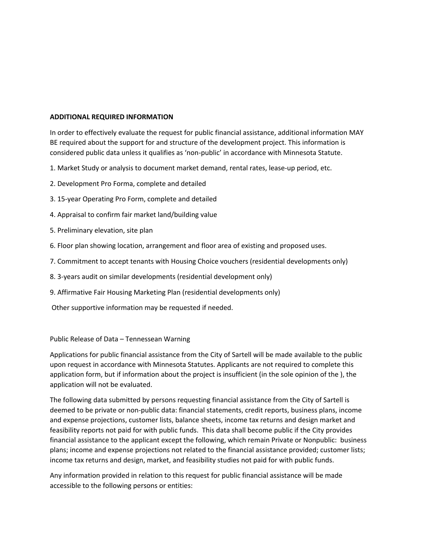#### **ADDITIONAL REQUIRED INFORMATION**

In order to effectively evaluate the request for public financial assistance, additional information MAY BE required about the support for and structure of the development project. This information is considered public data unless it qualifies as 'non-public' in accordance with Minnesota Statute.

- 1. Market Study or analysis to document market demand, rental rates, lease-up period, etc.
- 2. Development Pro Forma, complete and detailed
- 3. 15-year Operating Pro Form, complete and detailed
- 4. Appraisal to confirm fair market land/building value
- 5. Preliminary elevation, site plan
- 6. Floor plan showing location, arrangement and floor area of existing and proposed uses.
- 7. Commitment to accept tenants with Housing Choice vouchers (residential developments only)
- 8. 3-years audit on similar developments (residential development only)
- 9. Affirmative Fair Housing Marketing Plan (residential developments only)
- Other supportive information may be requested if needed.

Public Release of Data – Tennessean Warning

Applications for public financial assistance from the City of Sartell will be made available to the public upon request in accordance with Minnesota Statutes. Applicants are not required to complete this application form, but if information about the project is insufficient (in the sole opinion of the ), the application will not be evaluated.

The following data submitted by persons requesting financial assistance from the City of Sartell is deemed to be private or non-public data: financial statements, credit reports, business plans, income and expense projections, customer lists, balance sheets, income tax returns and design market and feasibility reports not paid for with public funds. This data shall become public if the City provides financial assistance to the applicant except the following, which remain Private or Nonpublic: business plans; income and expense projections not related to the financial assistance provided; customer lists; income tax returns and design, market, and feasibility studies not paid for with public funds.

Any information provided in relation to this request for public financial assistance will be made accessible to the following persons or entities: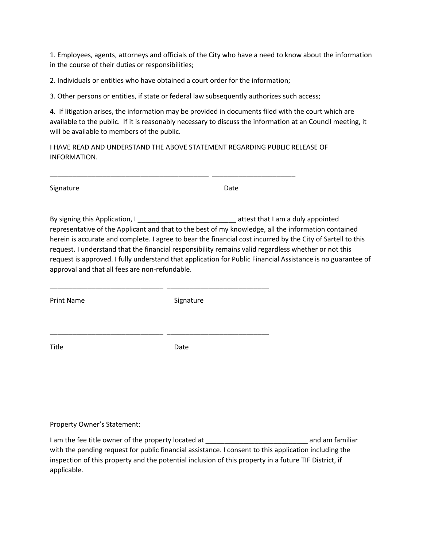1. Employees, agents, attorneys and officials of the City who have a need to know about the information in the course of their duties or responsibilities;

2. Individuals or entities who have obtained a court order for the information;

3. Other persons or entities, if state or federal law subsequently authorizes such access;

4. If litigation arises, the information may be provided in documents filed with the court which are available to the public. If it is reasonably necessary to discuss the information at an Council meeting, it will be available to members of the public.

I HAVE READ AND UNDERSTAND THE ABOVE STATEMENT REGARDING PUBLIC RELEASE OF INFORMATION.

\_\_\_\_\_\_\_\_\_\_\_\_\_\_\_\_\_\_\_\_\_\_\_\_\_\_\_\_\_\_\_\_\_\_\_\_\_\_\_\_\_\_ \_\_\_\_\_\_\_\_\_\_\_\_\_\_\_\_\_\_\_\_\_\_

| Signature | Date |
|-----------|------|

By signing this Application, I contains the state of a street that I am a duly appointed representative of the Applicant and that to the best of my knowledge, all the information contained herein is accurate and complete. I agree to bear the financial cost incurred by the City of Sartell to this request. I understand that the financial responsibility remains valid regardless whether or not this request is approved. I fully understand that application for Public Financial Assistance is no guarantee of approval and that all fees are non-refundable.

Print Name Signature

\_\_\_\_\_\_\_\_\_\_\_\_\_\_\_\_\_\_\_\_\_\_\_\_\_\_\_\_\_\_ \_\_\_\_\_\_\_\_\_\_\_\_\_\_\_\_\_\_\_\_\_\_\_\_\_\_\_

\_\_\_\_\_\_\_\_\_\_\_\_\_\_\_\_\_\_\_\_\_\_\_\_\_\_\_\_\_\_ \_\_\_\_\_\_\_\_\_\_\_\_\_\_\_\_\_\_\_\_\_\_\_\_\_\_\_

Title Date

Property Owner's Statement:

I am the fee title owner of the property located at T am interest and am familiar with the pending request for public financial assistance. I consent to this application including the inspection of this property and the potential inclusion of this property in a future TIF District, if applicable.